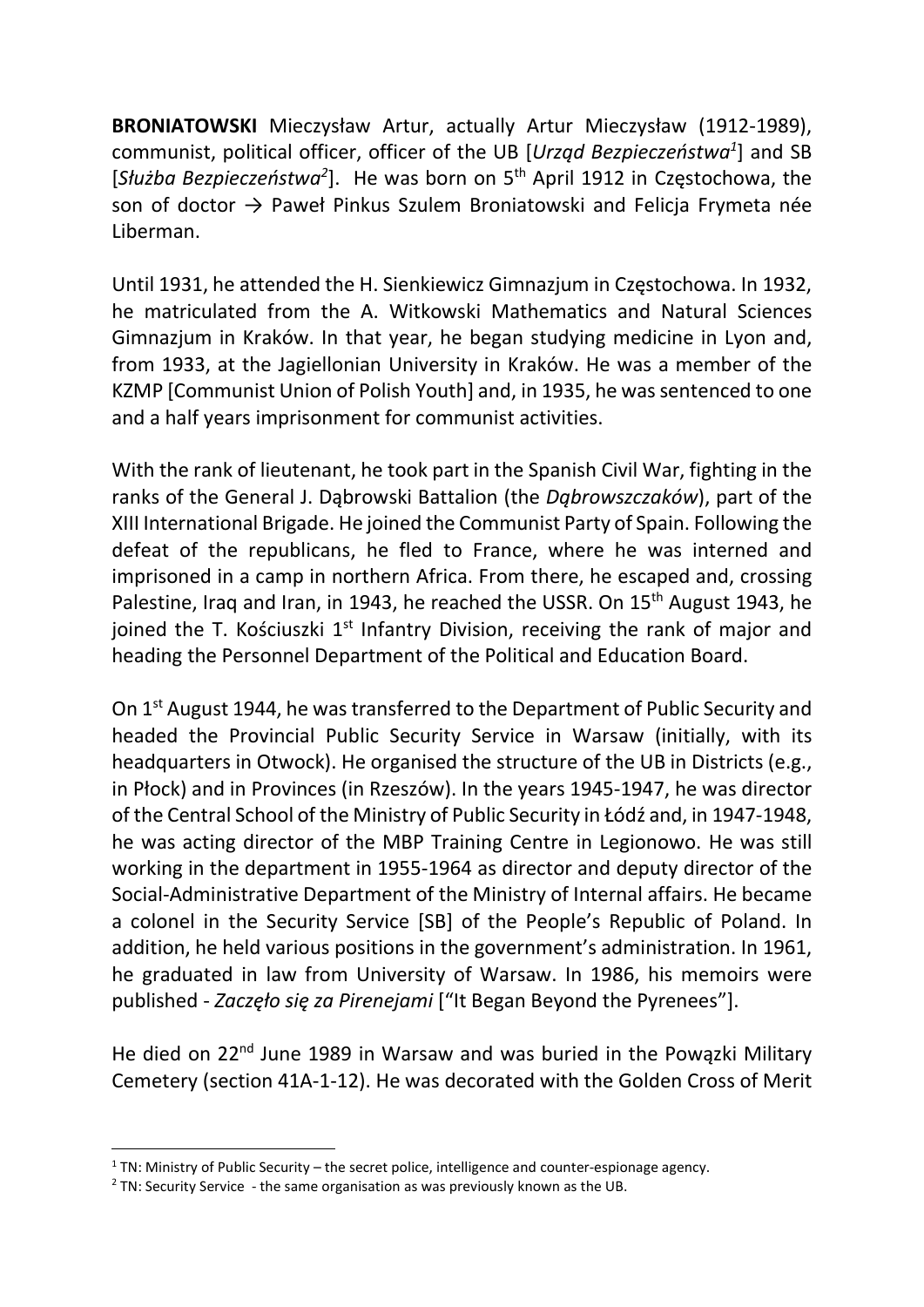BRONIATOWSKI Mieczysław Artur, actually Artur Mieczysław (1912-1989), communist, political officer, officer of the UB [Urząd Bezpieczeństwa<sup>1</sup>] and SB [Służba Bezpieczeństwa<sup>2</sup>]. He was born on 5<sup>th</sup> April 1912 in Częstochowa, the son of doctor  $\rightarrow$  Paweł Pinkus Szulem Broniatowski and Felicja Frymeta née Liberman.

Until 1931, he attended the H. Sienkiewicz Gimnazjum in Częstochowa. In 1932, he matriculated from the A. Witkowski Mathematics and Natural Sciences Gimnazjum in Kraków. In that year, he began studying medicine in Lyon and, from 1933, at the Jagiellonian University in Kraków. He was a member of the KZMP [Communist Union of Polish Youth] and, in 1935, he was sentenced to one and a half years imprisonment for communist activities.

With the rank of lieutenant, he took part in the Spanish Civil War, fighting in the ranks of the General J. Dąbrowski Battalion (the Dąbrowszczaków), part of the XIII International Brigade. He joined the Communist Party of Spain. Following the defeat of the republicans, he fled to France, where he was interned and imprisoned in a camp in northern Africa. From there, he escaped and, crossing Palestine, Iraq and Iran, in 1943, he reached the USSR. On 15<sup>th</sup> August 1943, he joined the T. Kościuszki  $1<sup>st</sup>$  Infantry Division, receiving the rank of major and heading the Personnel Department of the Political and Education Board.

On 1st August 1944, he was transferred to the Department of Public Security and headed the Provincial Public Security Service in Warsaw (initially, with its headquarters in Otwock). He organised the structure of the UB in Districts (e.g., in Płock) and in Provinces (in Rzeszów). In the years 1945-1947, he was director of the Central School of the Ministry of Public Security in Łódź and, in 1947-1948, he was acting director of the MBP Training Centre in Legionowo. He was still working in the department in 1955-1964 as director and deputy director of the Social-Administrative Department of the Ministry of Internal affairs. He became a colonel in the Security Service [SB] of the People's Republic of Poland. In addition, he held various positions in the government's administration. In 1961, he graduated in law from University of Warsaw. In 1986, his memoirs were published - Zaczęło się za Pirenejami ["It Began Beyond the Pyrenees"].

He died on 22<sup>nd</sup> June 1989 in Warsaw and was buried in the Powązki Military Cemetery (section 41A-1-12). He was decorated with the Golden Cross of Merit

 $1$  TN: Ministry of Public Security – the secret police, intelligence and counter-espionage agency.

 $2$  TN: Security Service - the same organisation as was previously known as the UB.